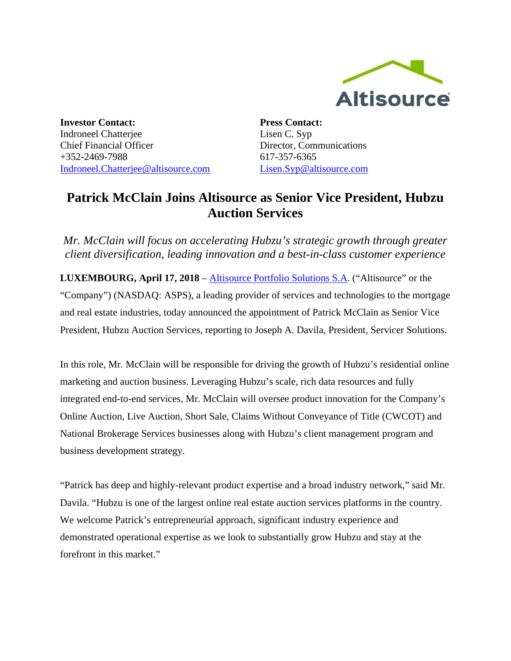

**Investor Contact:** Indroneel Chatterjee Chief Financial Officer +352-2469-7988 [Indroneel.Chatterjee@altisource.com](mailto:Indroneel.Chatterjee@altisource.com) **Press Contact:** Lisen C. Syp Director, Communications 617-357-6365 [Lisen.Syp@altisource.com](mailto:Lisen.Syp@altisource.com)

## **Patrick McClain Joins Altisource as Senior Vice President, Hubzu Auction Services**

*Mr. McClain will focus on accelerating Hubzu's strategic growth through greater client diversification, leading innovation and a best-in-class customer experience* 

**LUXEMBOURG, April 17, 2018** – [Altisource Portfolio Solutions S.A.](https://www.altisource.com/?utm_campaign=McClain&utm_source=PR&utm_medium=PR&utm_content=first) ("Altisource" or the "Company") (NASDAQ: ASPS), a leading provider of services and technologies to the mortgage and real estate industries, today announced the appointment of Patrick McClain as Senior Vice President, Hubzu Auction Services, reporting to Joseph A. Davila, President, Servicer Solutions.

In this role, Mr. McClain will be responsible for driving the growth of Hubzu's residential online marketing and auction business. Leveraging Hubzu's scale, rich data resources and fully integrated end-to-end services, Mr. McClain will oversee product innovation for the Company's Online Auction, Live Auction, Short Sale, Claims Without Conveyance of Title (CWCOT) and National Brokerage Services businesses along with Hubzu's client management program and business development strategy.

"Patrick has deep and highly-relevant product expertise and a broad industry network," said Mr. Davila. "Hubzu is one of the largest online real estate auction services platforms in the country. We welcome Patrick's entrepreneurial approach, significant industry experience and demonstrated operational expertise as we look to substantially grow Hubzu and stay at the forefront in this market."